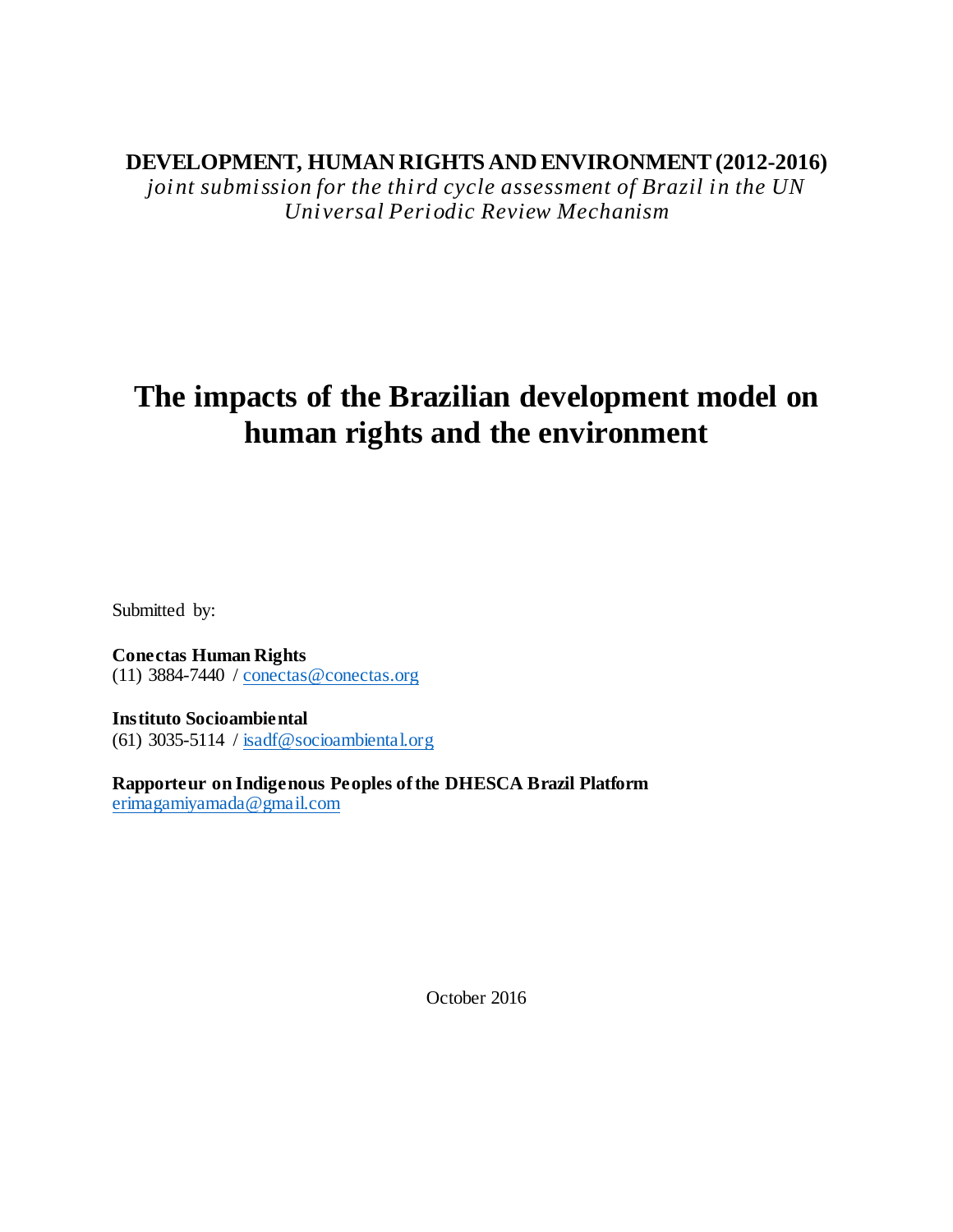# **DEVELOPMENT, HUMAN RIGHTS AND ENVIRONMENT(2012-2016)**

*joint submission for the third cycle assessment of Brazil in the UN Universal Periodic Review Mechanism*

# **The impacts of the Brazilian development model on human rights and the environment**

Submitted by:

**Conectas Human Rights** (11) 3884-7440 / conectas@conectas.org

**Instituto Socioambiental** (61) 3035-5114 /  $isadf@socio ambiental.org$ 

**Rapporteur on Indigenous Peoples ofthe DHESCA Brazil Platform** erimagamiyamada@gmail.com

October 2016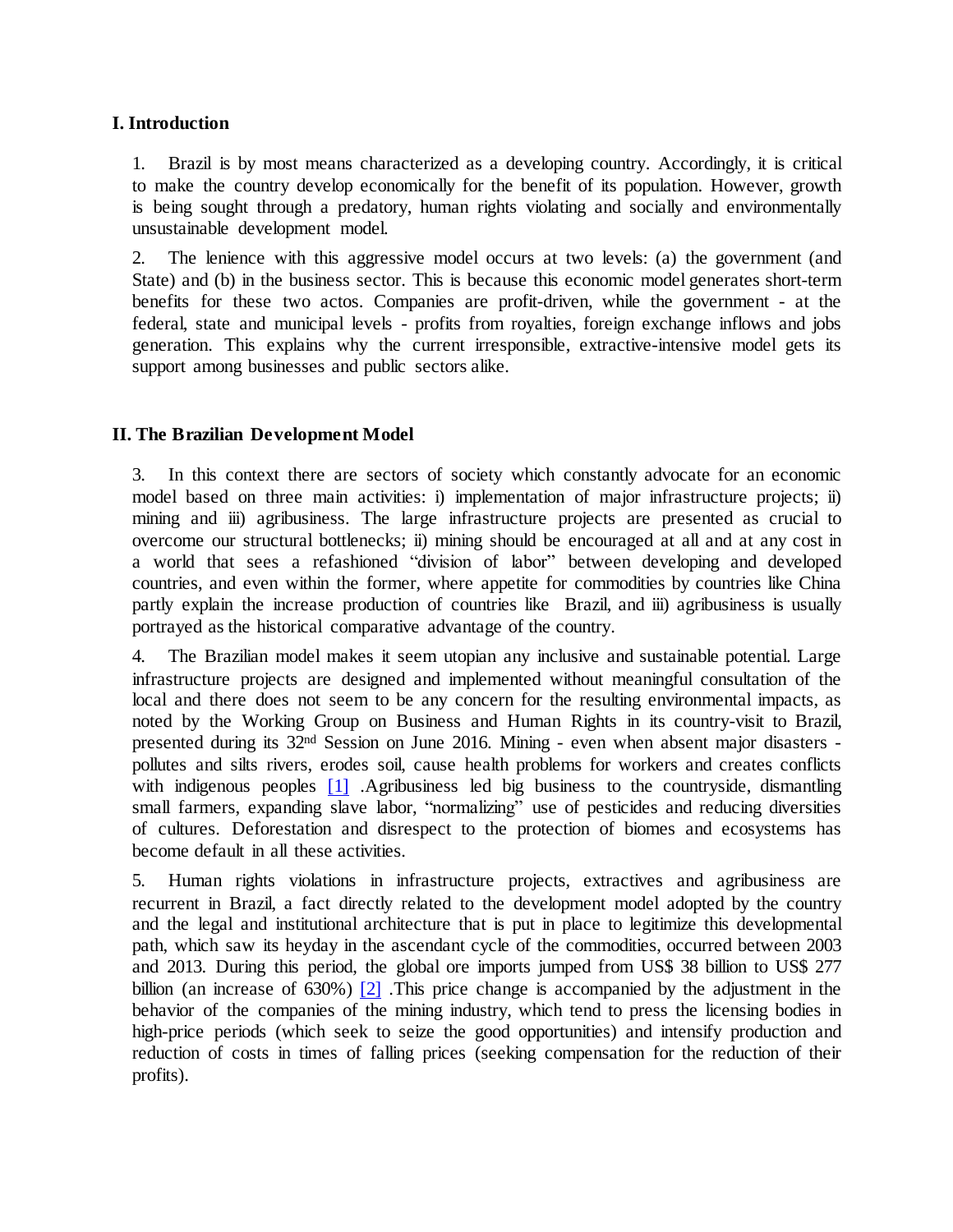### **I. Introduction**

1. Brazil is by most means characterized as a developing country. Accordingly, it is critical to make the country develop economically for the benefit of its population. However, growth is being sought through a predatory, human rights violating and socially and environmentally unsustainable development model.

2. The lenience with this aggressive model occurs at two levels: (a) the government (and State) and (b) in the business sector. This is because this economic model generates short-term benefits for these two actos. Companies are profit-driven, while the government - at the federal, state and municipal levels - profits from royalties, foreign exchange inflows and jobs generation. This explains why the current irresponsible, extractive-intensive model gets its support among businesses and public sectors alike.

# **II. The Brazilian Development Model**

3. In this context there are sectors of society which constantly advocate for an economic model based on three main activities: i) implementation of major infrastructure projects; ii) mining and iii) agribusiness. The large infrastructure projects are presented as crucial to overcome our structural bottlenecks; ii) mining should be encouraged at all and at any cost in a world that sees a refashioned "division of labor" between developing and developed countries, and even within the former, where appetite for commodities by countries like China partly explain the increase production of countries like Brazil, and iii) agribusiness is usually portrayed as the historical comparative advantage of the country.

4. The Brazilian model makes it seem utopian any inclusive and sustainable potential. Large infrastructure projects are designed and implemented without meaningful consultation of the local and there does not seem to be any concern for the resulting environmental impacts, as noted by the Working Group on Business and Human Rights in its country-visit to Brazil, presented during its 32nd Session on June 2016. Mining - even when absent major disasters pollutes and silts rivers, erodes soil, cause health problems for workers and creates conflicts with indigenous peoples [1] .Agribusiness led big business to the countryside, dismantling small farmers, expanding slave labor, "normalizing" use of pesticides and reducing diversities of cultures. Deforestation and disrespect to the protection of biomes and ecosystems has become default in all these activities.

5. Human rights violations in infrastructure projects, extractives and agribusiness are recurrent in Brazil, a fact directly related to the development model adopted by the country and the legal and institutional architecture that is put in place to legitimize this developmental path, which saw its heyday in the ascendant cycle of the commodities, occurred between 2003 and 2013. During this period, the global ore imports jumped from US\$ 38 billion to US\$ 277 billion (an increase of 630%) [2] .This price change is accompanied by the adjustment in the behavior of the companies of the mining industry, which tend to press the licensing bodies in high-price periods (which seek to seize the good opportunities) and intensify production and reduction of costs in times of falling prices (seeking compensation for the reduction of their profits).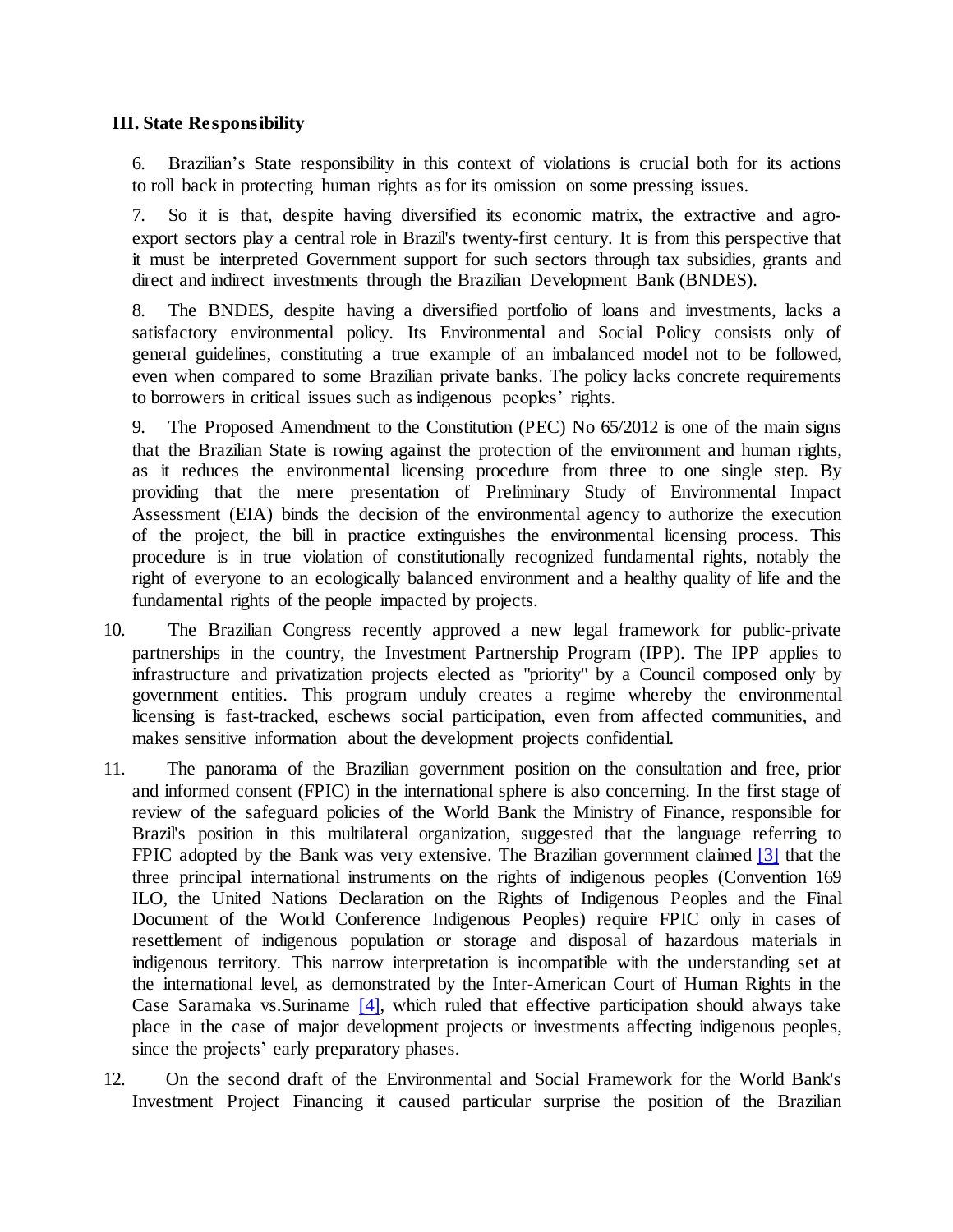#### **III. State Responsibility**

6. Brazilian's State responsibility in this context of violations is crucial both for its actions to roll back in protecting human rights as for its omission on some pressing issues.

7. So it is that, despite having diversified its economic matrix, the extractive and agroexport sectors play a central role in Brazil's twenty-first century. It is from this perspective that it must be interpreted Government support for such sectors through tax subsidies, grants and direct and indirect investments through the Brazilian Development Bank (BNDES).

8. The BNDES, despite having a diversified portfolio of loans and investments, lacks a satisfactory environmental policy. Its Environmental and Social Policy consists only of general guidelines, constituting a true example of an imbalanced model not to be followed, even when compared to some Brazilian private banks. The policy lacks concrete requirements to borrowers in critical issues such as indigenous peoples' rights.

9. The Proposed Amendment to the Constitution (PEC) No 65/2012 is one of the main signs that the Brazilian State is rowing against the protection of the environment and human rights, as it reduces the environmental licensing procedure from three to one single step. By providing that the mere presentation of Preliminary Study of Environmental Impact Assessment (EIA) binds the decision of the environmental agency to authorize the execution of the project, the bill in practice extinguishes the environmental licensing process. This procedure is in true violation of constitutionally recognized fundamental rights, notably the right of everyone to an ecologically balanced environment and a healthy quality of life and the fundamental rights of the people impacted by projects.

- 10. The Brazilian Congress recently approved a new legal framework for public-private partnerships in the country, the Investment Partnership Program (IPP). The IPP applies to infrastructure and privatization projects elected as "priority" by a Council composed only by government entities. This program unduly creates a regime whereby the environmental licensing is fast-tracked, eschews social participation, even from affected communities, and makes sensitive information about the development projects confidential.
- 11. The panorama of the Brazilian government position on the consultation and free, prior and informed consent (FPIC) in the international sphere is also concerning. In the first stage of review of the safeguard policies of the World Bank the Ministry of Finance, responsible for Brazil's position in this multilateral organization, suggested that the language referring to FPIC adopted by the Bank was very extensive. The Brazilian government claimed [3] that the three principal international instruments on the rights of indigenous peoples (Convention 169 ILO, the United Nations Declaration on the Rights of Indigenous Peoples and the Final Document of the World Conference Indigenous Peoples) require FPIC only in cases of resettlement of indigenous population or storage and disposal of hazardous materials in indigenous territory. This narrow interpretation is incompatible with the understanding set at the international level, as demonstrated by the Inter-American Court of Human Rights in the Case Saramaka vs.Suriname [4], which ruled that effective participation should always take place in the case of major development projects or investments affecting indigenous peoples, since the projects' early preparatory phases.
- 12. On the second draft of the Environmental and Social Framework for the World Bank's Investment Project Financing it caused particular surprise the position of the Brazilian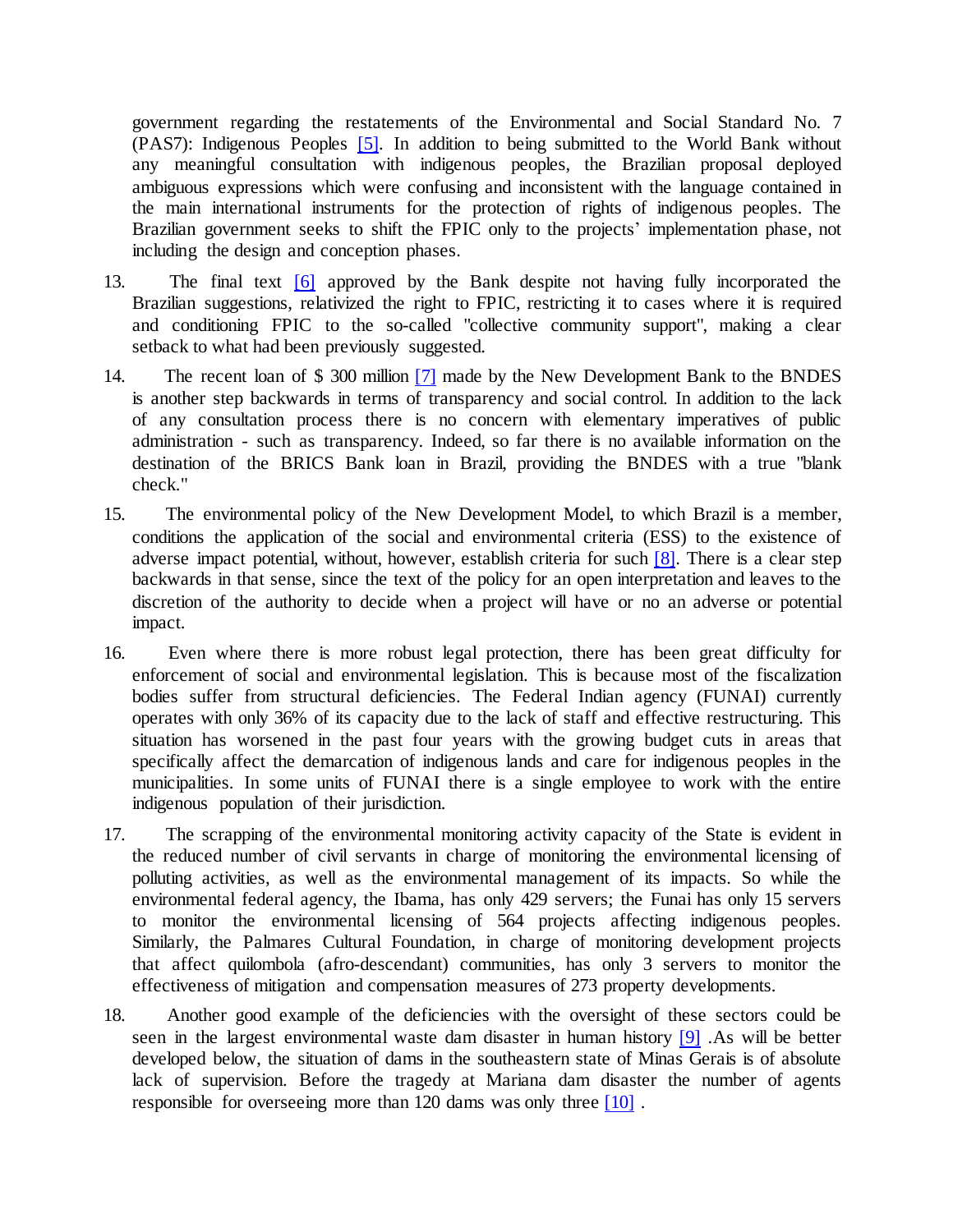government regarding the restatements of the Environmental and Social Standard No. 7 (PAS7): Indigenous Peoples [5]. In addition to being submitted to the World Bank without any meaningful consultation with indigenous peoples, the Brazilian proposal deployed ambiguous expressions which were confusing and inconsistent with the language contained in the main international instruments for the protection of rights of indigenous peoples. The Brazilian government seeks to shift the FPIC only to the projects' implementation phase, not including the design and conception phases.

- 13. The final text [6] approved by the Bank despite not having fully incorporated the Brazilian suggestions, relativized the right to FPIC, restricting it to cases where it is required and conditioning FPIC to the so-called "collective community support", making a clear setback to what had been previously suggested.
- 14. The recent loan of \$ 300 million [7] made by the New Development Bank to the BNDES is another step backwards in terms of transparency and social control. In addition to the lack of any consultation process there is no concern with elementary imperatives of public administration - such as transparency. Indeed, so far there is no available information on the destination of the BRICS Bank loan in Brazil, providing the BNDES with a true "blank check."
- 15. The environmental policy of the New Development Model, to which Brazil is a member, conditions the application of the social and environmental criteria (ESS) to the existence of adverse impact potential, without, however, establish criteria for such [8]. There is a clear step backwards in that sense, since the text of the policy for an open interpretation and leaves to the discretion of the authority to decide when a project will have or no an adverse or potential impact.
- 16. Even where there is more robust legal protection, there has been great difficulty for enforcement of social and environmental legislation. This is because most of the fiscalization bodies suffer from structural deficiencies. The Federal Indian agency (FUNAI) currently operates with only 36% of its capacity due to the lack of staff and effective restructuring. This situation has worsened in the past four years with the growing budget cuts in areas that specifically affect the demarcation of indigenous lands and care for indigenous peoples in the municipalities. In some units of FUNAI there is a single employee to work with the entire indigenous population of their jurisdiction.
- 17. The scrapping of the environmental monitoring activity capacity of the State is evident in the reduced number of civil servants in charge of monitoring the environmental licensing of polluting activities, as well as the environmental management of its impacts. So while the environmental federal agency, the Ibama, has only 429 servers; the Funai has only 15 servers to monitor the environmental licensing of 564 projects affecting indigenous peoples. Similarly, the Palmares Cultural Foundation, in charge of monitoring development projects that affect quilombola (afro-descendant) communities, has only 3 servers to monitor the effectiveness of mitigation and compensation measures of 273 property developments.
- 18. Another good example of the deficiencies with the oversight of these sectors could be seen in the largest environmental waste dam disaster in human history [9] .As will be better developed below, the situation of dams in the southeastern state of Minas Gerais is of absolute lack of supervision. Before the tragedy at Mariana dam disaster the number of agents responsible for overseeing more than 120 dams was only three [10] .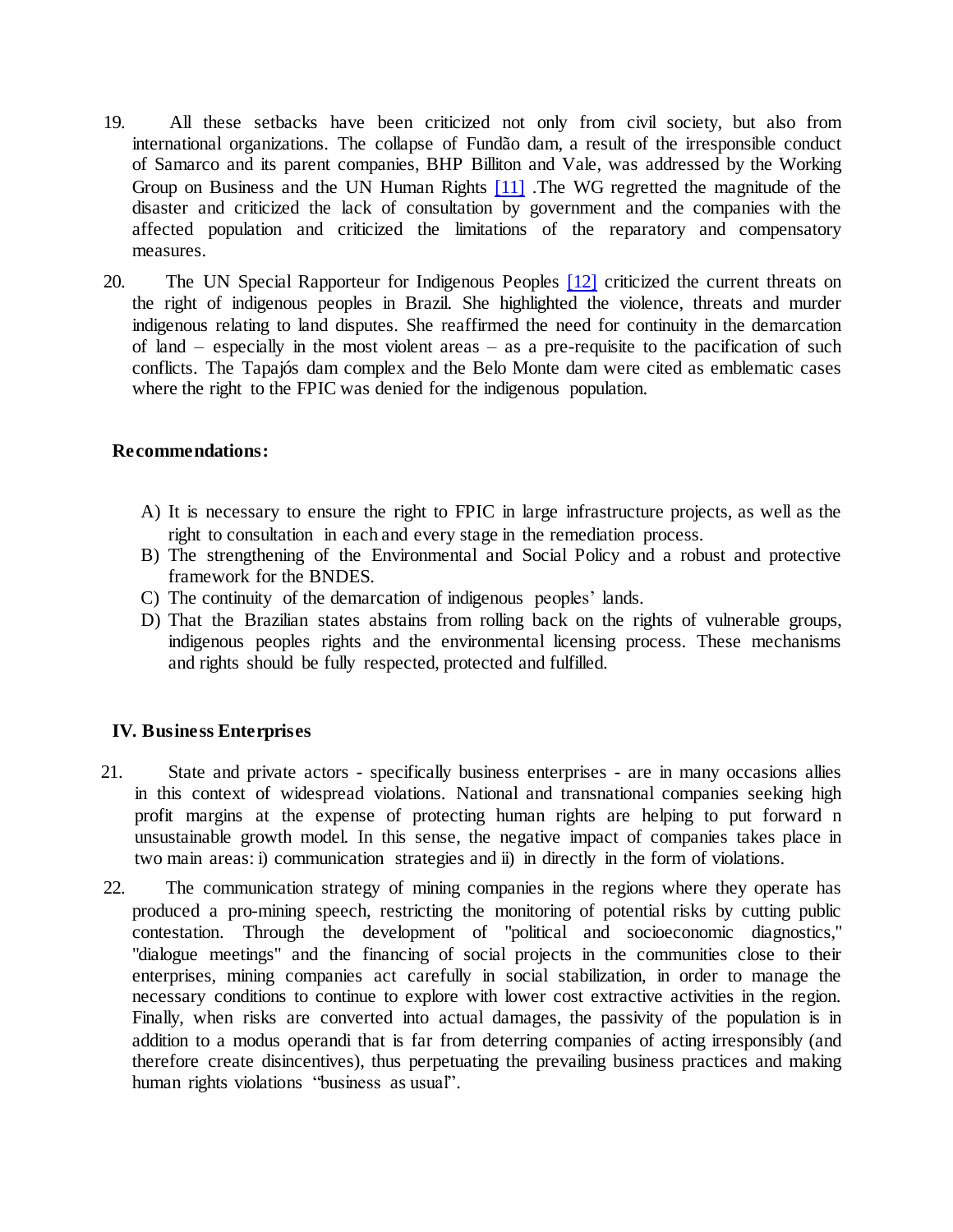- 19. All these setbacks have been criticized not only from civil society, but also from international organizations. The collapse of Fundão dam, a result of the irresponsible conduct of Samarco and its parent companies, BHP Billiton and Vale, was addressed by the Working Group on Business and the UN Human Rights [11] .The WG regretted the magnitude of the disaster and criticized the lack of consultation by government and the companies with the affected population and criticized the limitations of the reparatory and compensatory measures.
- 20. The UN Special Rapporteur for Indigenous Peoples [12] criticized the current threats on the right of indigenous peoples in Brazil. She highlighted the violence, threats and murder indigenous relating to land disputes. She reaffirmed the need for continuity in the demarcation of land – especially in the most violent areas – as a pre-requisite to the pacification of such conflicts. The Tapajós dam complex and the Belo Monte dam were cited as emblematic cases where the right to the FPIC was denied for the indigenous population.

#### **Recommendations:**

- A) It is necessary to ensure the right to FPIC in large infrastructure projects, as well as the right to consultation in each and every stage in the remediation process.
- B) The strengthening of the Environmental and Social Policy and a robust and protective framework for the BNDES.
- C) The continuity of the demarcation of indigenous peoples' lands.
- D) That the Brazilian states abstains from rolling back on the rights of vulnerable groups, indigenous peoples rights and the environmental licensing process. These mechanisms and rights should be fully respected, protected and fulfilled.

# **IV. Business Enterprises**

- 21. State and private actors specifically business enterprises are in many occasions allies in this context of widespread violations. National and transnational companies seeking high profit margins at the expense of protecting human rights are helping to put forward n unsustainable growth model. In this sense, the negative impact of companies takes place in two main areas: i) communication strategies and ii) in directly in the form of violations.
- 22. The communication strategy of mining companies in the regions where they operate has produced a pro-mining speech, restricting the monitoring of potential risks by cutting public contestation. Through the development of "political and socioeconomic diagnostics," "dialogue meetings" and the financing of social projects in the communities close to their enterprises, mining companies act carefully in social stabilization, in order to manage the necessary conditions to continue to explore with lower cost extractive activities in the region. Finally, when risks are converted into actual damages, the passivity of the population is in addition to a modus operandi that is far from deterring companies of acting irresponsibly (and therefore create disincentives), thus perpetuating the prevailing business practices and making human rights violations "business as usual".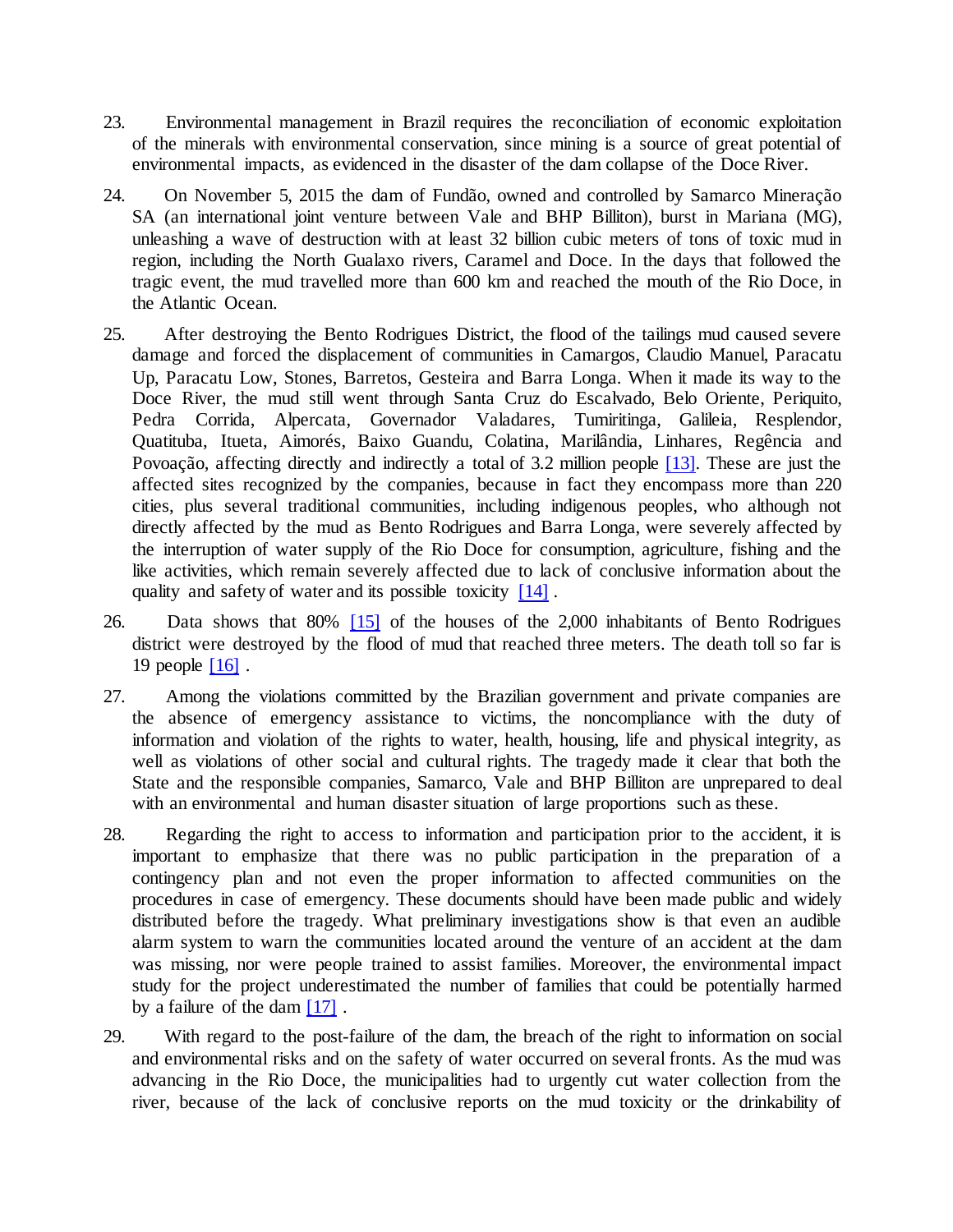- 23. Environmental management in Brazil requires the reconciliation of economic exploitation of the minerals with environmental conservation, since mining is a source of great potential of environmental impacts, as evidenced in the disaster of the dam collapse of the Doce River.
- 24. On November 5, 2015 the dam of Fundão, owned and controlled by Samarco Mineração SA (an international joint venture between Vale and BHP Billiton), burst in Mariana (MG), unleashing a wave of destruction with at least 32 billion cubic meters of tons of toxic mud in region, including the North Gualaxo rivers, Caramel and Doce. In the days that followed the tragic event, the mud travelled more than 600 km and reached the mouth of the Rio Doce, in the Atlantic Ocean.
- 25. After destroying the Bento Rodrigues District, the flood of the tailings mud caused severe damage and forced the displacement of communities in Camargos, Claudio Manuel, Paracatu Up, Paracatu Low, Stones, Barretos, Gesteira and Barra Longa. When it made its way to the Doce River, the mud still went through Santa Cruz do Escalvado, Belo Oriente, Periquito, Pedra Corrida, Alpercata, Governador Valadares, Tumiritinga, Galileia, Resplendor, Quatituba, Itueta, Aimorés, Baixo Guandu, Colatina, Marilândia, Linhares, Regência and Povoação, affecting directly and indirectly a total of 3.2 million people [13]. These are just the affected sites recognized by the companies, because in fact they encompass more than 220 cities, plus several traditional communities, including indigenous peoples, who although not directly affected by the mud as Bento Rodrigues and Barra Longa, were severely affected by the interruption of water supply of the Rio Doce for consumption, agriculture, fishing and the like activities, which remain severely affected due to lack of conclusive information about the quality and safety of water and its possible toxicity [14].
- 26. Data shows that 80% [15] of the houses of the 2,000 inhabitants of Bento Rodrigues district were destroyed by the flood of mud that reached three meters. The death toll so far is 19 people [16] .
- 27. Among the violations committed by the Brazilian government and private companies are the absence of emergency assistance to victims, the noncompliance with the duty of information and violation of the rights to water, health, housing, life and physical integrity, as well as violations of other social and cultural rights. The tragedy made it clear that both the State and the responsible companies, Samarco, Vale and BHP Billiton are unprepared to deal with an environmental and human disaster situation of large proportions such as these.
- 28. Regarding the right to access to information and participation prior to the accident, it is important to emphasize that there was no public participation in the preparation of a contingency plan and not even the proper information to affected communities on the procedures in case of emergency. These documents should have been made public and widely distributed before the tragedy. What preliminary investigations show is that even an audible alarm system to warn the communities located around the venture of an accident at the dam was missing, nor were people trained to assist families. Moreover, the environmental impact study for the project underestimated the number of families that could be potentially harmed by a failure of the dam [17].
- 29. With regard to the post-failure of the dam, the breach of the right to information on social and environmental risks and on the safety of water occurred on several fronts. As the mud was advancing in the Rio Doce, the municipalities had to urgently cut water collection from the river, because of the lack of conclusive reports on the mud toxicity or the drinkability of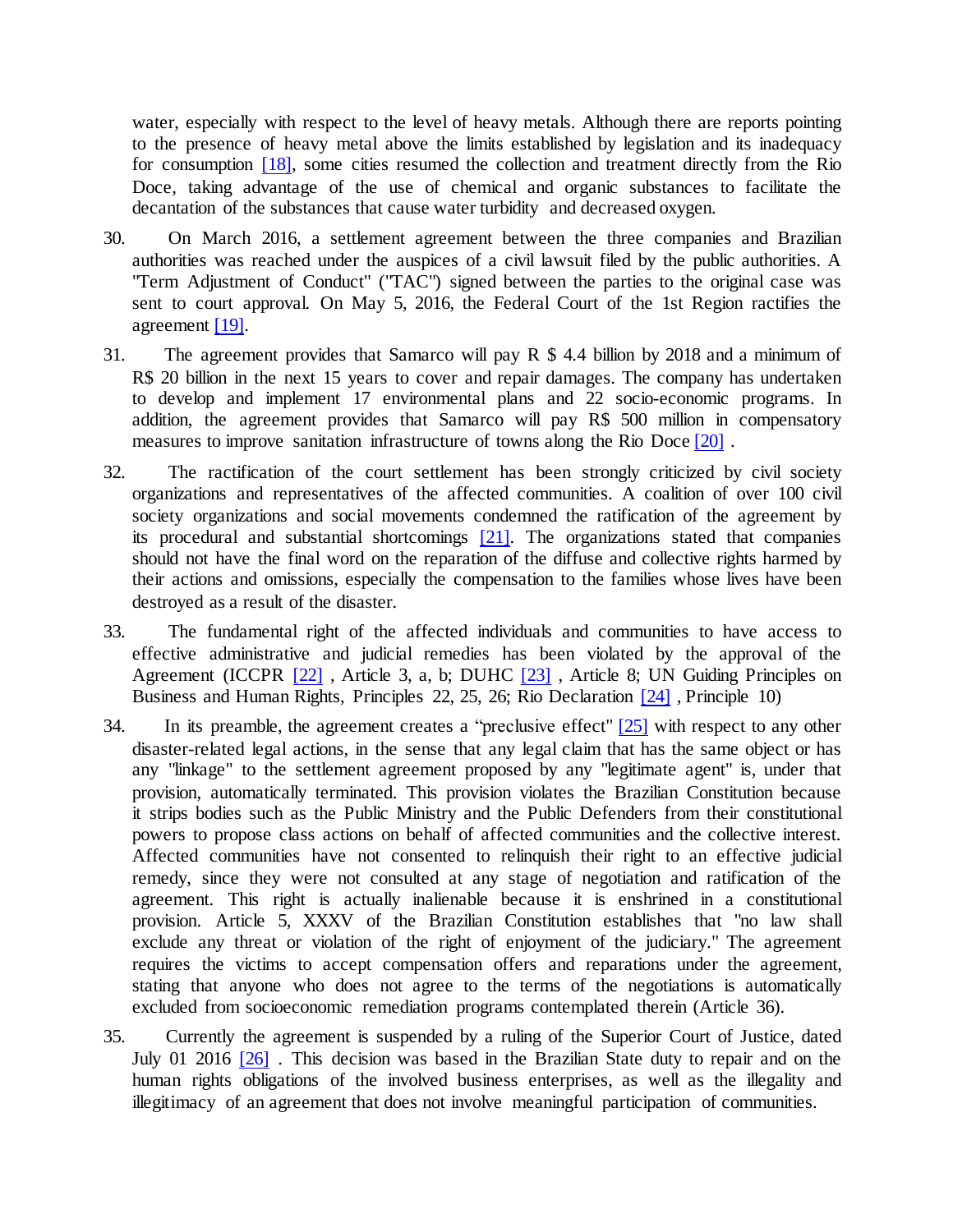water, especially with respect to the level of heavy metals. Although there are reports pointing to the presence of heavy metal above the limits established by legislation and its inadequacy for consumption [18], some cities resumed the collection and treatment directly from the Rio Doce, taking advantage of the use of chemical and organic substances to facilitate the decantation of the substances that cause water turbidity and decreased oxygen.

- 30. On March 2016, a settlement agreement between the three companies and Brazilian authorities was reached under the auspices of a civil lawsuit filed by the public authorities. A "Term Adjustment of Conduct" ("TAC") signed between the parties to the original case was sent to court approval. On May 5, 2016, the Federal Court of the 1st Region ractifies the agreement [19].
- 31. The agreement provides that Samarco will pay R \$ 4.4 billion by 2018 and a minimum of R\$ 20 billion in the next 15 years to cover and repair damages. The company has undertaken to develop and implement 17 environmental plans and 22 socio-economic programs. In addition, the agreement provides that Samarco will pay R\$ 500 million in compensatory measures to improve sanitation infrastructure of towns along the Rio Doce [20] .
- 32. The ractification of the court settlement has been strongly criticized by civil society organizations and representatives of the affected communities. A coalition of over 100 civil society organizations and social movements condemned the ratification of the agreement by its procedural and substantial shortcomings [21]. The organizations stated that companies should not have the final word on the reparation of the diffuse and collective rights harmed by their actions and omissions, especially the compensation to the families whose lives have been destroyed as a result of the disaster.
- 33. The fundamental right of the affected individuals and communities to have access to effective administrative and judicial remedies has been violated by the approval of the Agreement (ICCPR [22], Article 3, a, b; DUHC [23], Article 8; UN Guiding Principles on Business and Human Rights, Principles 22, 25, 26; Rio Declaration [24] , Principle 10)
- 34. In its preamble, the agreement creates a "preclusive effect"  $[25]$  with respect to any other disaster-related legal actions, in the sense that any legal claim that has the same object or has any "linkage" to the settlement agreement proposed by any "legitimate agent" is, under that provision, automatically terminated. This provision violates the Brazilian Constitution because it strips bodies such as the Public Ministry and the Public Defenders from their constitutional powers to propose class actions on behalf of affected communities and the collective interest. Affected communities have not consented to relinquish their right to an effective judicial remedy, since they were not consulted at any stage of negotiation and ratification of the agreement. This right is actually inalienable because it is enshrined in a constitutional provision. Article 5, XXXV of the Brazilian Constitution establishes that "no law shall exclude any threat or violation of the right of enjoyment of the judiciary." The agreement requires the victims to accept compensation offers and reparations under the agreement, stating that anyone who does not agree to the terms of the negotiations is automatically excluded from socioeconomic remediation programs contemplated therein (Article 36).
- 35. Currently the agreement is suspended by a ruling of the Superior Court of Justice, dated July 01 2016 [26] . This decision was based in the Brazilian State duty to repair and on the human rights obligations of the involved business enterprises, as well as the illegality and illegitimacy of an agreement that does not involve meaningful participation of communities.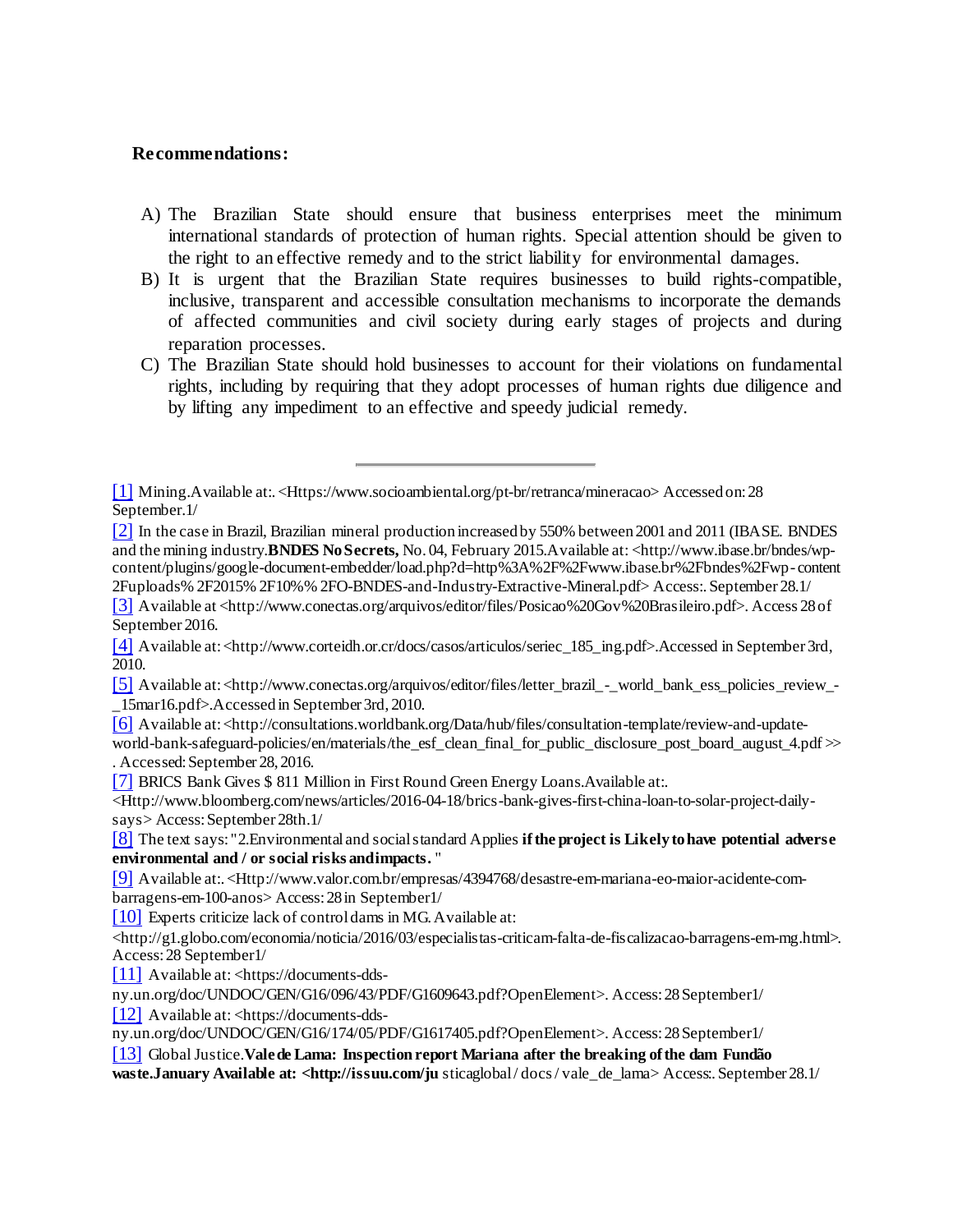#### **Recommendations:**

- A) The Brazilian State should ensure that business enterprises meet the minimum international standards of protection of human rights. Special attention should be given to the right to an effective remedy and to the strict liability for environmental damages.
- B) It is urgent that the Brazilian State requires businesses to build rights-compatible, inclusive, transparent and accessible consultation mechanisms to incorporate the demands of affected communities and civil society during early stages of projects and during reparation processes.
- C) The Brazilian State should hold businesses to account for their violations on fundamental rights, including by requiring that they adopt processes of human rights due diligence and by lifting any impediment to an effective and speedy judicial remedy.

[6] Available at:<http://consultations.worldbank.org/Data/hub/files/consultation-template/review-and-update-

world-bank-safeguard-policies/en/materials/the\_esf\_clean\_final\_for\_public\_disclosure\_post\_board\_august\_4.pdf  $\gg$ . Accessed: September 28, 2016.

[7] BRICS Bank Gives \$ 811 Million in First Round Green Energy Loans.Available at:.

<Http://www.bloomberg.com/news/articles/2016-04-18/brics-bank-gives-first-china-loan-to-solar-project-dailysays> Access: September 28th.1/

[8] The text says: "2.Environmental and socialstandard Applies **ifthe project is Likelytohave potential adverse environmental and / or social risks andimpacts.** "

[9] Available at:.<Http://www.valor.com.br/empresas/4394768/desastre-em-mariana-eo-maior-acidente-combarragens-em-100-anos> Access:28in September1/

[10] Experts criticize lack of control dams in MG. Available at:

<http://g1.globo.com/economia/noticia/2016/03/especialistas-criticam-falta-de-fiscalizacao-barragens-em-mg.html>. Access:28 September1/

[11] Available at: <https://documents-dds-

ny.un.org/doc/UNDOC/GEN/G16/096/43/PDF/G1609643.pdf?OpenElement>. Access:28September1/

[12] Available at: <https://documents-dds-

ny.un.org/doc/UNDOC/GEN/G16/174/05/PDF/G1617405.pdf?OpenElement>. Access:28September1/

[13] GlobalJustice.**Valede Lama: Inspection report Mariana after the breaking ofthe dam Fundão**

**waste.January Available at: <http://issuu.com/ju** sticaglobal/ docs/ vale\_de\_lama> Access:. September 28.1/

<sup>[1]</sup> Mining.Available at:.<Https://www.socioambiental.org/pt-br/retranca/mineracao> Accessedon:28 September.1/

<sup>[2]</sup> In the case in Brazil, Brazilian mineral production increased by 550% between 2001 and 2011 (IBASE. BNDES and the mining industry.**BNDES NoSecrets,** No. 04, February 2015.Available at: <http://www.ibase.br/bndes/wpcontent/plugins/google-document-embedder/load.php?d=http%3A%2F%2Fwww.ibase.br%2Fbndes%2Fwp- content 2Fuploads% 2F2015% 2F10%% 2FO-BNDES-and-Industry-Extractive-Mineral.pdf> Access:. September 28.1/

<sup>[3]</sup> Available at <http://www.conectas.org/arquivos/editor/files/Posicao%20Gov%20Brasileiro.pdf>. Access 28of September 2016.

<sup>[4]</sup> Available at: <http://www.corteidh.or.cr/docs/casos/articulos/seriec\_185\_ing.pdf>.Accessed in September 3rd, 2010.

<sup>[5]</sup> Available at:<http://www.conectas.org/arquivos/editor/files/letter\_brazil\_-\_world\_bank\_ess\_policies\_review\_- \_15mar16.pdf>.Accessed in September 3rd, 2010.